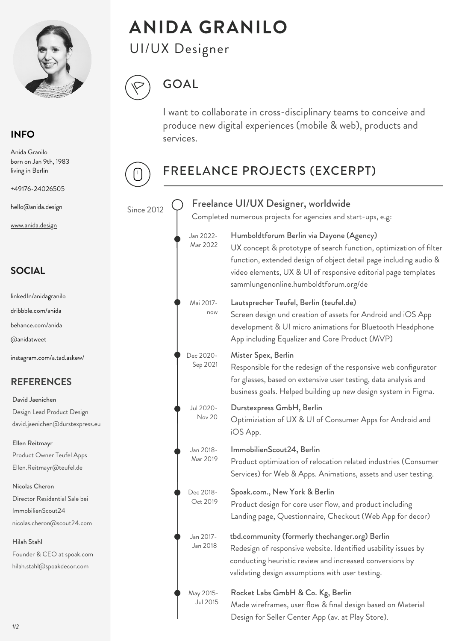

# **ANIDA GRANILO**

UI/UX Designer



# FREELANCE PROJECTS (EXCERPT)

# GOAL

I want to collaborate in cross-disciplinary teams to conceive and produce new digital experiences (mobile & web), products and services.

May 2015- Jul 2015

### Since 2012

 $\mathbf{I}$ 

Completed numerous projects for agencies and start-ups, e.g:

Dec 2018- Oct 2019 Spoak.com., New York & Berlin

> Rocket Labs GmbH & Co. Kg, Berlin Made wireframes, user flow & final design based on Material Design for Seller Center App (av. at Play Store).

Product design for core user flow, and product including Landing page, Questionnaire, Checkout (Web App for decor)

#### Mai 2017 now

Mar 2022

Sep 2021

### Lautsprecher Teufel, Berlin (teufel.de)

#### Jan 2022- Humboldtforum Berlin via Dayone (Agency)

Screen design und creation of assets for Android and iOS App development & UI micro animations for Bluetooth Headphone App including Equalizer and Core Product (MVP)

Jul 2020- Nov 20 Durstexpress GmbH, Berlin Optimiziation of UX & UI of Consumer Apps for Android and iOS App.

- 
- Dec 2020- Mister Spex, Berlin

UX concept & prototype of search function, optimization of filter function, extended design of object detail page including audio & video elements, UX & UI of responsive editorial page templates sammlungenonline.humboldtforum.org/de

Responsible for the redesign of the responsive web configurator for glasses, based on extensive user testing, data analysis and business goals. Helped building up new design system in Figma.

Jan 2018-

Mar 2019

ImmobilienScout24, Berlin Product optimization of relocation related industries (Consumer Services) for Web & Apps. Animations, assets and user testing.

#### Freelance UI/UX Designer, worldwide

#### **SOCIAL**

@anidatweet

instagram.com/a.tad.askew/

linkedIn/anidagranilo

dribbble.com/anida

behance.com/anida

#### **REFERENCES**

Ellen Reitmayr Product Owner Teufel Apps

Ellen.Reitmayr@teufel.de

David Jaenichen Design Lead Product Design david.jaenichen@durstexpress.eu

Nicolas Cheron Director Residential Sale bei ImmobilienScout24 nicolas.cheron@scout24.com

Hilah Stahl

Founder & CEO at spoak.com hilah.stahl@spoakdecor.com

Anida Granilo born on Jan 9th, 1983 living in Berlin

+49176-24026505

hello@anida.design

www.anida.design

### **INFO**

Jan 2017- Jan 2018 tbd.community (formerly thechanger.org) Berlin Redesign of responsive website. Identified usability issues by conducting heuristic review and increased conversions by validating design assumptions with user testing.